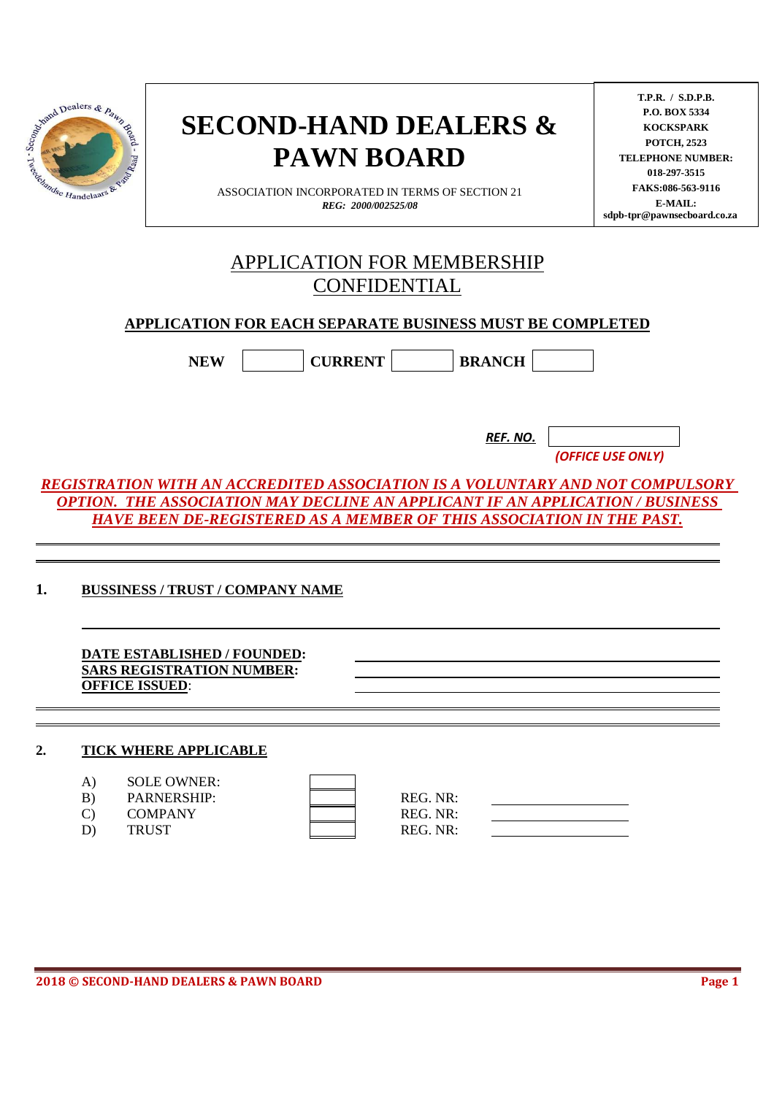|  | Name Dealers & Pawner |  |
|--|-----------------------|--|

# **SECOND-HAND DEALERS & PAWN BOARD**

ASSOCIATION INCORPORATED IN TERMS OF SECTION 21 *REG: 2000/002525/08*

**T.P.R. / S.D.P.B. P.O. BOX 5334 KOCKSPARK POTCH, 2523 TELEPHONE NUMBER: 018-297-3515 FAKS:086-563-9116 E-MAIL: sdpb-tpr@pawnsecboard.co.za**

# APPLICATION FOR MEMBERSHIP CONFIDENTIAL

# **APPLICATION FOR EACH SEPARATE BUSINESS MUST BE COMPLETED**

NEW CURRENT BRANCH

*REF. NO.*

*(OFFICE USE ONLY)* 

*REGISTRATION WITH AN ACCREDITED ASSOCIATION IS A VOLUNTARY AND NOT COMPULSORY OPTION. THE ASSOCIATION MAY DECLINE AN APPLICANT IF AN APPLICATION / BUSINESS HAVE BEEN DE-REGISTERED AS A MEMBER OF THIS ASSOCIATION IN THE PAST.*

**1. BUSSINESS / TRUST / COMPANY NAME**

**DATE ESTABLISHED / FOUNDED: SARS REGISTRATION NUMBER: OFFICE ISSUED**:

#### **2. TICK WHERE APPLICABLE**

| A) | <b>SOLE OWNER:</b> |  |
|----|--------------------|--|
| R) | <b>PARNERSHIP</b>  |  |

| D)     | L'ANNEN DILLE   |
|--------|-----------------|
| $\sim$ | $COM$ and a new |

REG. NR: C) COMPANY REG. NR: D) TRUST REG. NR: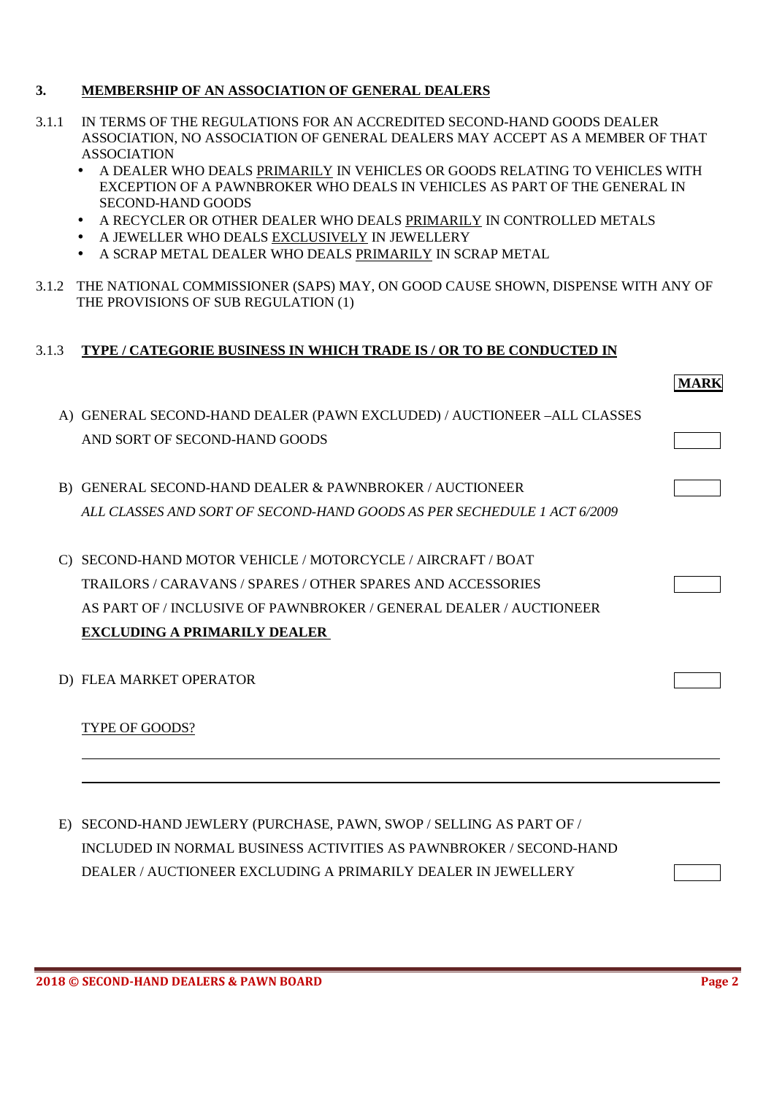#### **3. MEMBERSHIP OF AN ASSOCIATION OF GENERAL DEALERS**

- 3.1.1 IN TERMS OF THE REGULATIONS FOR AN ACCREDITED SECOND-HAND GOODS DEALER ASSOCIATION, NO ASSOCIATION OF GENERAL DEALERS MAY ACCEPT AS A MEMBER OF THAT ASSOCIATION
	- A DEALER WHO DEALS PRIMARILY IN VEHICLES OR GOODS RELATING TO VEHICLES WITH EXCEPTION OF A PAWNBROKER WHO DEALS IN VEHICLES AS PART OF THE GENERAL IN SECOND-HAND GOODS
	- A RECYCLER OR OTHER DEALER WHO DEALS PRIMARILY IN CONTROLLED METALS
	- A JEWELLER WHO DEALS EXCLUSIVELY IN JEWELLERY
	- A SCRAP METAL DEALER WHO DEALS PRIMARILY IN SCRAP METAL
- 3.1.2 THE NATIONAL COMMISSIONER (SAPS) MAY, ON GOOD CAUSE SHOWN, DISPENSE WITH ANY OF THE PROVISIONS OF SUB REGULATION (1)

#### 3.1.3 **TYPE / CATEGORIE BUSINESS IN WHICH TRADE IS / OR TO BE CONDUCTED IN**

|    |                                                                         | <b>MARK</b> |
|----|-------------------------------------------------------------------------|-------------|
|    | A) GENERAL SECOND-HAND DEALER (PAWN EXCLUDED) / AUCTIONEER -ALL CLASSES |             |
|    | AND SORT OF SECOND-HAND GOODS                                           |             |
| B) | <b>GENERAL SECOND-HAND DEALER &amp; PAWNBROKER / AUCTIONEER</b>         |             |
|    | ALL CLASSES AND SORT OF SECOND-HAND GOODS AS PER SECHEDULE 1 ACT 6/2009 |             |
|    | SECOND-HAND MOTOR VEHICLE / MOTORCYCLE / AIRCRAFT / BOAT                |             |
|    | TRAILORS / CARAVANS / SPARES / OTHER SPARES AND ACCESSORIES             |             |
|    | AS PART OF / INCLUSIVE OF PAWNBROKER / GENERAL DEALER / AUCTIONEER      |             |
|    | <b>EXCLUDING A PRIMARILY DEALER</b>                                     |             |
|    | D) FLEA MARKET OPERATOR                                                 |             |
|    | TYPE OF GOODS?                                                          |             |
|    |                                                                         |             |
|    |                                                                         |             |
| E  | SECOND-HAND JEWLERY (PURCHASE, PAWN, SWOP / SELLING AS PART OF /        |             |

INCLUDED IN NORMAL BUSINESS ACTIVITIES AS PAWNBROKER / SECOND-HAND DEALER / AUCTIONEER EXCLUDING A PRIMARILY DEALER IN JEWELLERY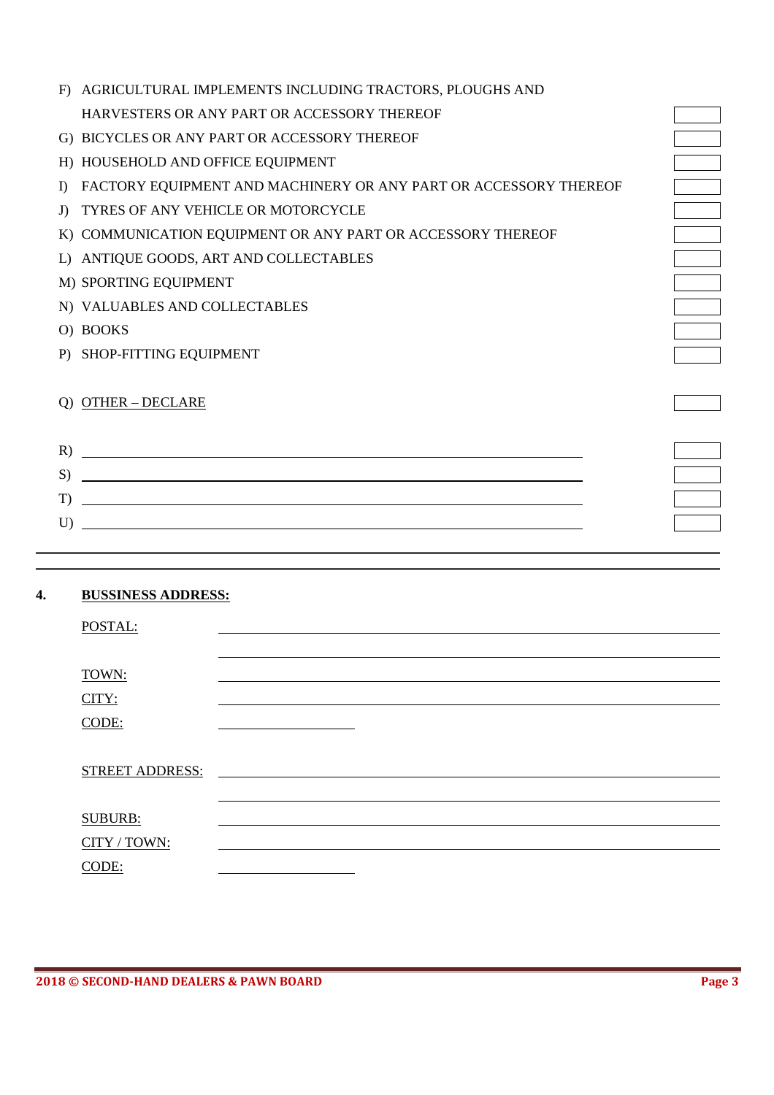| AGRICULTURAL IMPLEMENTS INCLUDING TRACTORS, PLOUGHS AND<br>F                                                                           |  |
|----------------------------------------------------------------------------------------------------------------------------------------|--|
| HARVESTERS OR ANY PART OR ACCESSORY THEREOF                                                                                            |  |
| G) BICYCLES OR ANY PART OR ACCESSORY THEREOF                                                                                           |  |
| HOUSEHOLD AND OFFICE EQUIPMENT<br>H)                                                                                                   |  |
| FACTORY EQUIPMENT AND MACHINERY OR ANY PART OR ACCESSORY THEREOF<br>$\bf{D}$                                                           |  |
| TYRES OF ANY VEHICLE OR MOTORCYCLE<br>J                                                                                                |  |
| K) COMMUNICATION EQUIPMENT OR ANY PART OR ACCESSORY THEREOF                                                                            |  |
| ANTIQUE GOODS, ART AND COLLECTABLES<br>L)                                                                                              |  |
| M) SPORTING EQUIPMENT                                                                                                                  |  |
| N) VALUABLES AND COLLECTABLES                                                                                                          |  |
| O) BOOKS                                                                                                                               |  |
| P) SHOP-FITTING EQUIPMENT                                                                                                              |  |
|                                                                                                                                        |  |
| <b>OTHER - DECLARE</b>                                                                                                                 |  |
|                                                                                                                                        |  |
| <u> 1980 - Johann Barbara, martxa amerikan bashkar (</u><br>R)                                                                         |  |
| <u> 1989 - Johann Stoff, deutscher Stoffen und der Stoffen und der Stoffen und der Stoffen und der Stoffen und de</u><br>S)            |  |
| <u> 1989 - Johann Stoff, deutscher Stoffen und der Stoffen und der Stoffen und der Stoffen und der Stoffen und der</u><br>$\mathbf{T}$ |  |
| <u> 1989 - Johann Stoff, deutscher Stoffen und der Stoffen und der Stoffen und der Stoffen und der Stoffen und der</u><br>$\prod$      |  |
|                                                                                                                                        |  |

# **4. BUSSINESS ADDRESS:**

 $\overline{a}$ 

| POSTAL:                |  |
|------------------------|--|
|                        |  |
| TOWN:                  |  |
| CITY:                  |  |
| CODE:                  |  |
|                        |  |
| <b>STREET ADDRESS:</b> |  |
|                        |  |
| <b>SUBURB:</b>         |  |
| CITY / TOWN:           |  |
| CODE:                  |  |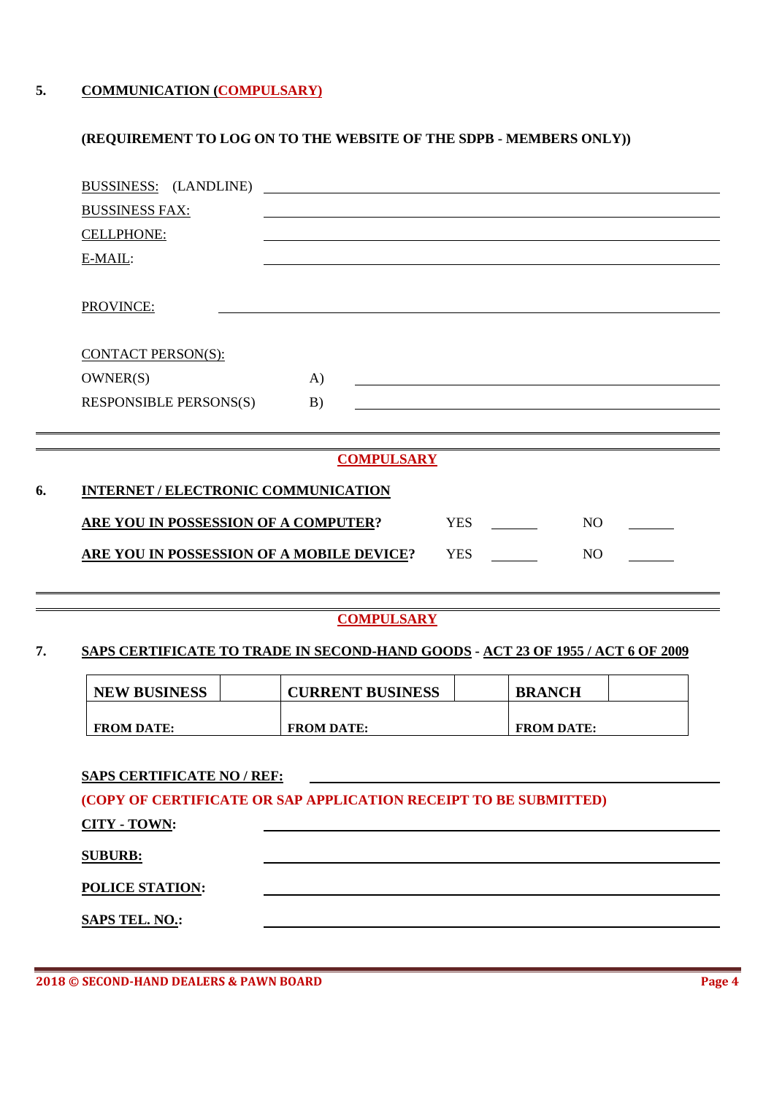### **5. COMMUNICATION (COMPULSARY)**

#### **(REQUIREMENT TO LOG ON TO THE WEBSITE OF THE SDPB - MEMBERS ONLY))**

|    | BUSSINESS: (LANDLINE)                       | <u> 1989 - Johann Stein, marwolaethau a bhann an t-Amhair ann an t-Amhair an t-Amhair an t-Amhair an t-Amhair an</u> |            |                |
|----|---------------------------------------------|----------------------------------------------------------------------------------------------------------------------|------------|----------------|
|    | <b>BUSSINESS FAX:</b>                       |                                                                                                                      |            |                |
|    | <b>CELLPHONE:</b>                           |                                                                                                                      |            |                |
|    | E-MAIL:                                     |                                                                                                                      |            |                |
|    |                                             |                                                                                                                      |            |                |
|    | PROVINCE:                                   |                                                                                                                      |            |                |
|    |                                             |                                                                                                                      |            |                |
|    | CONTACT PERSON(S):                          |                                                                                                                      |            |                |
|    | OWNER(S)                                    | $\bf{A}$                                                                                                             |            |                |
|    | <b>RESPONSIBLE PERSONS(S)</b>               | B)                                                                                                                   |            |                |
|    |                                             |                                                                                                                      |            |                |
|    |                                             | <b>COMPULSARY</b>                                                                                                    |            |                |
|    |                                             |                                                                                                                      |            |                |
| 6. | INTERNET / ELECTRONIC COMMUNICATION         |                                                                                                                      |            |                |
|    | <b>ARE YOU IN POSSESSION OF A COMPUTER?</b> |                                                                                                                      | <b>YES</b> | N <sub>O</sub> |
|    | ARE YOU IN POSSESSION OF A MOBILE DEVICE?   |                                                                                                                      | <b>YES</b> | N <sub>O</sub> |
|    |                                             |                                                                                                                      |            |                |
|    |                                             |                                                                                                                      |            |                |

#### **COMPULSARY**

#### **7. SAPS CERTIFICATE TO TRADE IN SECOND-HAND GOODS - ACT 23 OF 1955 / ACT 6 OF 2009**

| <b>NEW BUSINESS</b> | <b>CURRENT BUSINESS</b> | <b>BRANCH</b>     |  |
|---------------------|-------------------------|-------------------|--|
|                     |                         |                   |  |
| <b>FROM DATE:</b>   | <b>FROM DATE:</b>       | <b>FROM DATE:</b> |  |

### **SAPS CERTIFICATE NO / REF:**

**(COPY OF CERTIFICATE OR SAP APPLICATION RECEIPT TO BE SUBMITTED)** 

| CITY - TOWN: |  |
|--------------|--|
|              |  |

#### **SUBURB:**

 $\overline{a}$  $\overline{a}$ 

**POLICE STATION:** 

**SAPS TEL. NO.:**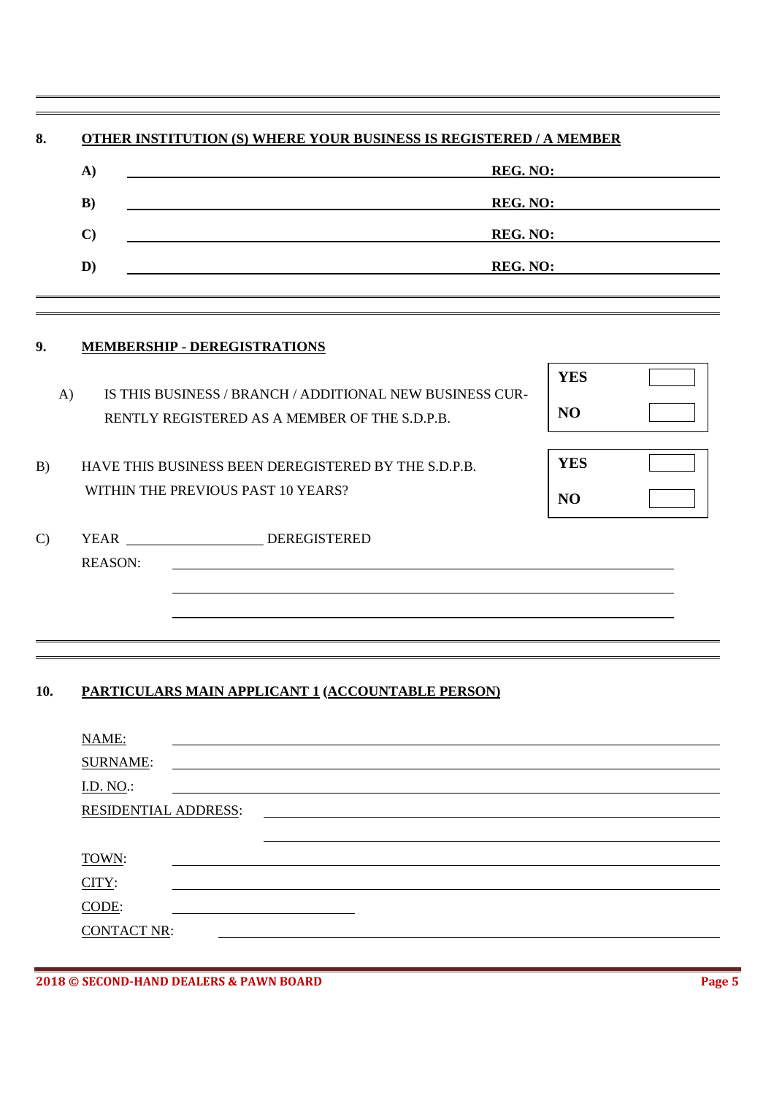|               |                      | <b>OTHER INSTITUTION (S) WHERE YOUR BUSINESS IS REGISTERED / A MEMBER</b>                                 |                |          |  |  |
|---------------|----------------------|-----------------------------------------------------------------------------------------------------------|----------------|----------|--|--|
|               | A)                   | <b>REG. NO:</b>                                                                                           |                |          |  |  |
|               | B)                   |                                                                                                           |                | REG. NO: |  |  |
|               | $\mathbf{C}$         |                                                                                                           |                | REG. NO: |  |  |
|               | D)                   |                                                                                                           |                | REG. NO: |  |  |
| 9.            |                      | <b>MEMBERSHIP - DEREGISTRATIONS</b>                                                                       |                |          |  |  |
|               |                      |                                                                                                           | <b>YES</b>     |          |  |  |
| $\bf{A}$      |                      | IS THIS BUSINESS / BRANCH / ADDITIONAL NEW BUSINESS CUR-<br>RENTLY REGISTERED AS A MEMBER OF THE S.D.P.B. | N <sub>O</sub> |          |  |  |
| B)            |                      | HAVE THIS BUSINESS BEEN DEREGISTERED BY THE S.D.P.B.                                                      | <b>YES</b>     |          |  |  |
|               |                      | WITHIN THE PREVIOUS PAST 10 YEARS?                                                                        | N <sub>O</sub> |          |  |  |
| $\mathcal{C}$ |                      | YEAR DEREGISTERED                                                                                         |                |          |  |  |
|               | <b>REASON:</b>       |                                                                                                           |                |          |  |  |
|               |                      |                                                                                                           |                |          |  |  |
|               |                      |                                                                                                           |                |          |  |  |
| 10.           |                      | <b>PARTICULARS MAIN APPLICANT 1 (ACCOUNTABLE PERSON)</b>                                                  |                |          |  |  |
|               |                      |                                                                                                           |                |          |  |  |
|               | NAME:                |                                                                                                           |                |          |  |  |
|               | <b>SURNAME:</b>      |                                                                                                           |                |          |  |  |
|               | I.D. NO.:            |                                                                                                           |                |          |  |  |
|               | RESIDENTIAL ADDRESS: |                                                                                                           |                |          |  |  |
|               | TOWN:                |                                                                                                           |                |          |  |  |
|               | CITY:                |                                                                                                           |                |          |  |  |
|               |                      |                                                                                                           |                |          |  |  |

**2018 © SECOND-HAND DEALERS & PAWN BOARD Page 5** 

CONTACT NR:

 $\overline{a}$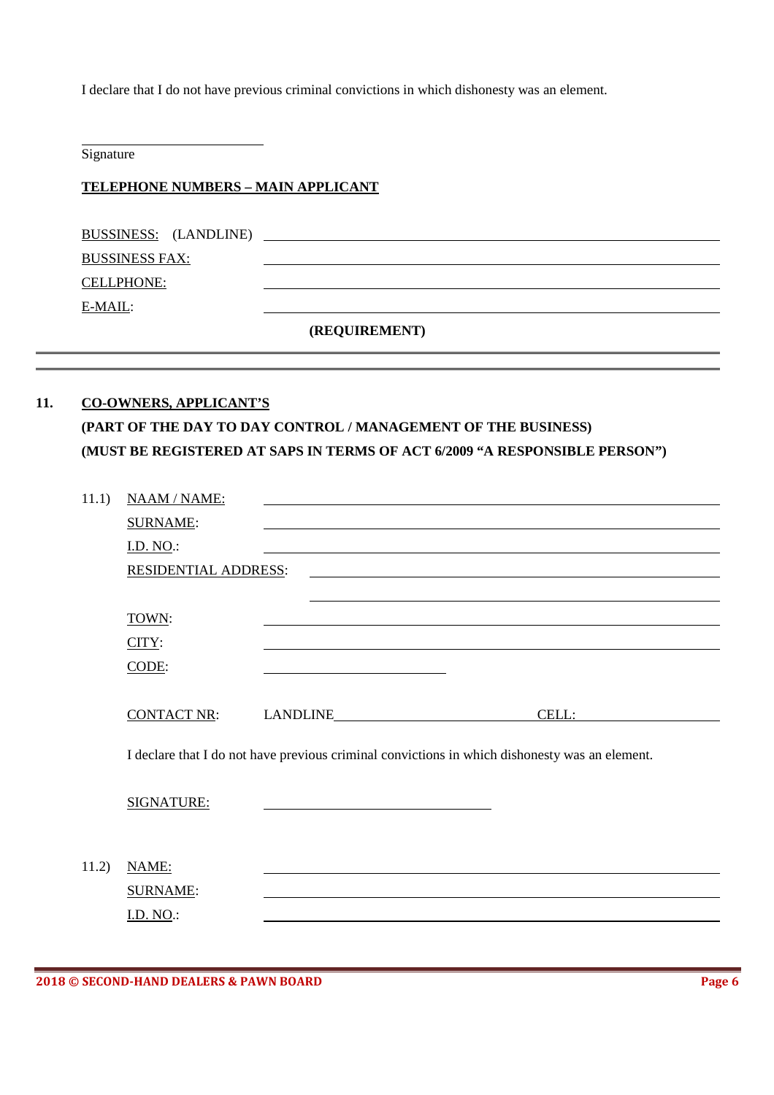I declare that I do not have previous criminal convictions in which dishonesty was an element.

Signature

 $\overline{a}$  $\overline{a}$ 

#### **TELEPHONE NUMBERS – MAIN APPLICANT**

| BUSSINESS: (LANDLINE) |
|-----------------------|
| <b>BUSSINESS FAX:</b> |
| <b>CELLPHONE:</b>     |
| E-MAIL:               |
|                       |

**(REQUIREMENT)** 

# **11. CO-OWNERS, APPLICANT'S (PART OF THE DAY TO DAY CONTROL / MANAGEMENT OF THE BUSINESS) (MUST BE REGISTERED AT SAPS IN TERMS OF ACT 6/2009 "A RESPONSIBLE PERSON")**

| 11.1) | NAAM / NAME:                |                                                                                                |  |
|-------|-----------------------------|------------------------------------------------------------------------------------------------|--|
|       | <b>SURNAME:</b>             |                                                                                                |  |
|       | <u>I.D. NO</u> .:           |                                                                                                |  |
|       | <b>RESIDENTIAL ADDRESS:</b> |                                                                                                |  |
|       |                             |                                                                                                |  |
|       | TOWN:                       |                                                                                                |  |
|       | CITY:                       |                                                                                                |  |
|       | CODE:                       |                                                                                                |  |
|       |                             |                                                                                                |  |
|       | <b>CONTACT NR:</b>          | CELL:                                                                                          |  |
|       |                             |                                                                                                |  |
|       |                             | I declare that I do not have previous criminal convictions in which dishonesty was an element. |  |
|       |                             |                                                                                                |  |
|       | SIGNATURE:                  |                                                                                                |  |
|       |                             |                                                                                                |  |
|       |                             |                                                                                                |  |
| 11.2) | NAME:                       |                                                                                                |  |
|       | <b>SURNAME:</b>             |                                                                                                |  |
|       | I.D. NO.:                   |                                                                                                |  |
|       |                             |                                                                                                |  |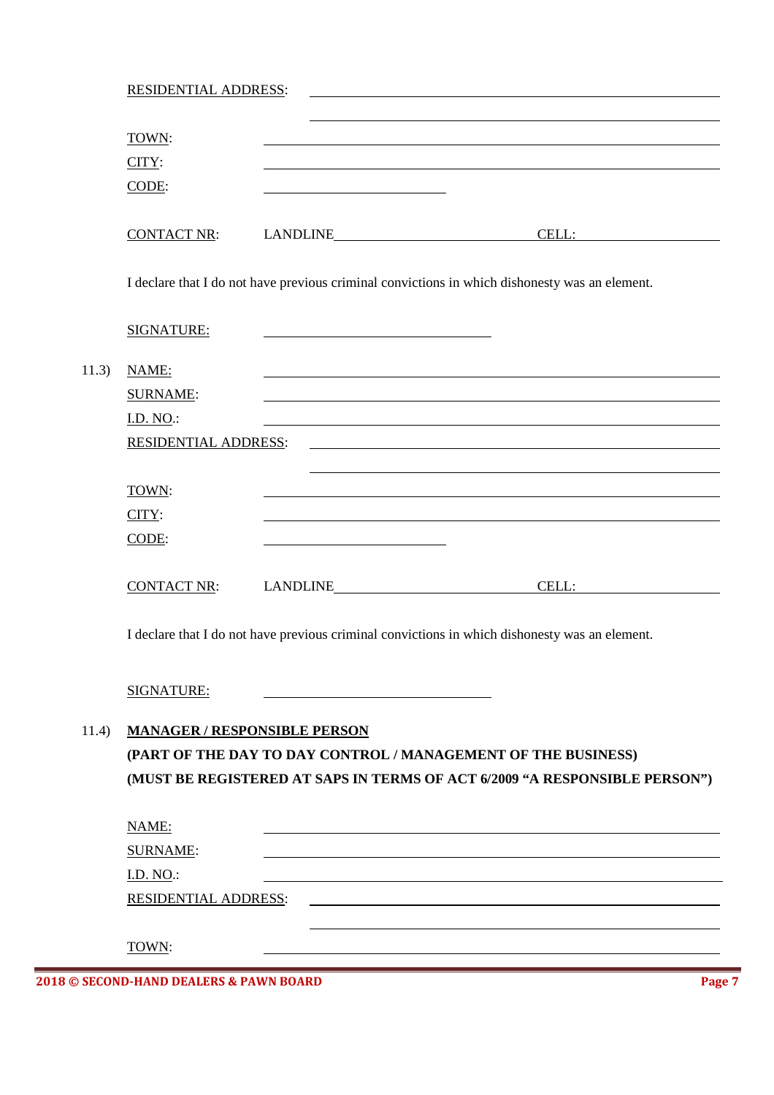|       | <b>RESIDENTIAL ADDRESS:</b> |                                     |                                                                                                |
|-------|-----------------------------|-------------------------------------|------------------------------------------------------------------------------------------------|
|       | TOWN:                       |                                     |                                                                                                |
|       | CITY:                       |                                     |                                                                                                |
|       | CODE:                       |                                     |                                                                                                |
|       | <b>CONTACT NR:</b>          |                                     | LANDLINE CELL:                                                                                 |
|       |                             |                                     | I declare that I do not have previous criminal convictions in which dishonesty was an element. |
|       | <b>SIGNATURE:</b>           |                                     |                                                                                                |
| 11.3) | NAME:                       |                                     |                                                                                                |
|       | <b>SURNAME:</b>             |                                     |                                                                                                |
|       | <b>I.D. NO.:</b>            |                                     |                                                                                                |
|       | RESIDENTIAL ADDRESS:        |                                     |                                                                                                |
|       | TOWN:                       |                                     |                                                                                                |
|       | $CITY$ :                    |                                     |                                                                                                |
|       | CODE:                       |                                     |                                                                                                |
|       | <b>CONTACT NR:</b>          |                                     | CELL:                                                                                          |
|       |                             |                                     | I declare that I do not have previous criminal convictions in which dishonesty was an element. |
|       | SIGNATURE:                  |                                     |                                                                                                |
| 11.4) |                             | <b>MANAGER / RESPONSIBLE PERSON</b> |                                                                                                |
|       |                             |                                     | (PART OF THE DAY TO DAY CONTROL / MANAGEMENT OF THE BUSINESS)                                  |
|       |                             |                                     | (MUST BE REGISTERED AT SAPS IN TERMS OF ACT 6/2009 "A RESPONSIBLE PERSON")                     |
|       | NAME:                       |                                     |                                                                                                |
|       | <b>SURNAME:</b>             |                                     |                                                                                                |
|       | <b>I.D. NO.:</b>            |                                     |                                                                                                |
|       |                             |                                     |                                                                                                |
|       | <b>RESIDENTIAL ADDRESS:</b> |                                     |                                                                                                |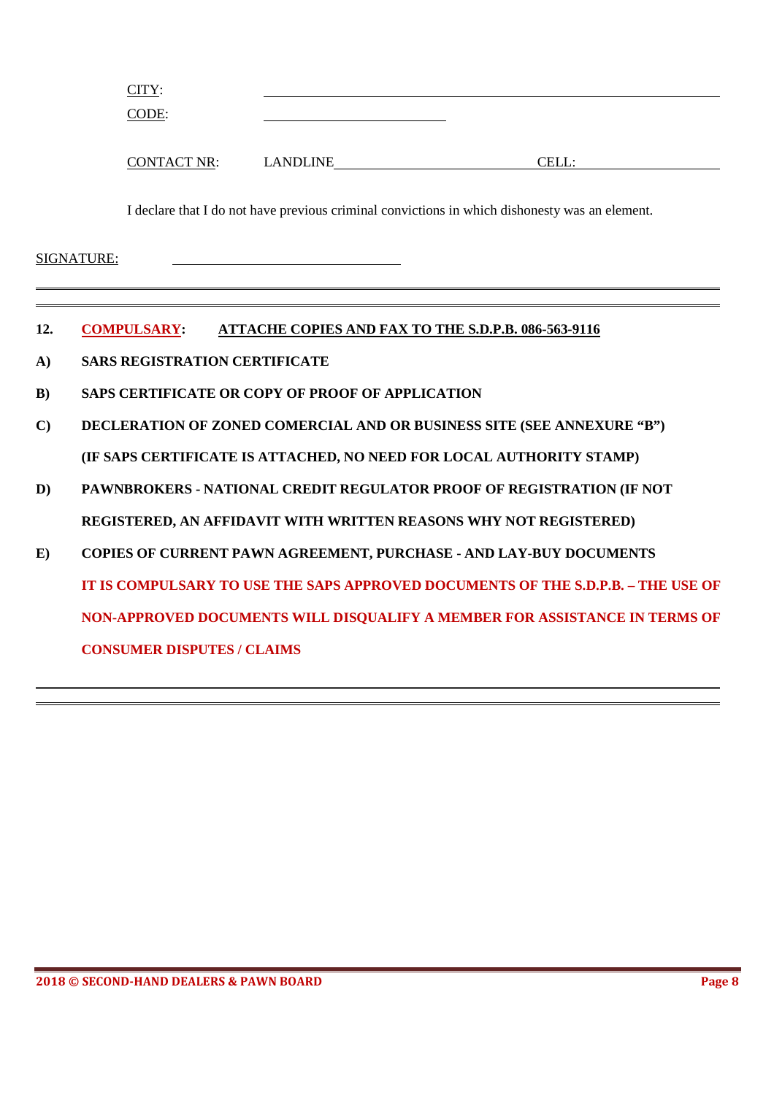| <u>CITY:</u> |  |  |
|--------------|--|--|
| CODE:        |  |  |
|              |  |  |
|              |  |  |

I declare that I do not have previous criminal convictions in which dishonesty was an element.

CONTACT NR: LANDLINE CELL:

 $\overline{a}$  $\overline{a}$ 

- **12. COMPULSARY: ATTACHE COPIES AND FAX TO THE S.D.P.B. 086-563-9116**
- **A) SARS REGISTRATION CERTIFICATE**
- **B) SAPS CERTIFICATE OR COPY OF PROOF OF APPLICATION**
- **C) DECLERATION OF ZONED COMERCIAL AND OR BUSINESS SITE (SEE ANNEXURE "B") (IF SAPS CERTIFICATE IS ATTACHED, NO NEED FOR LOCAL AUTHORITY STAMP)**
- **D) PAWNBROKERS NATIONAL CREDIT REGULATOR PROOF OF REGISTRATION (IF NOT REGISTERED, AN AFFIDAVIT WITH WRITTEN REASONS WHY NOT REGISTERED)**
- **E) COPIES OF CURRENT PAWN AGREEMENT, PURCHASE AND LAY-BUY DOCUMENTS IT IS COMPULSARY TO USE THE SAPS APPROVED DOCUMENTS OF THE S.D.P.B. – THE USE OF NON-APPROVED DOCUMENTS WILL DISQUALIFY A MEMBER FOR ASSISTANCE IN TERMS OF CONSUMER DISPUTES / CLAIMS**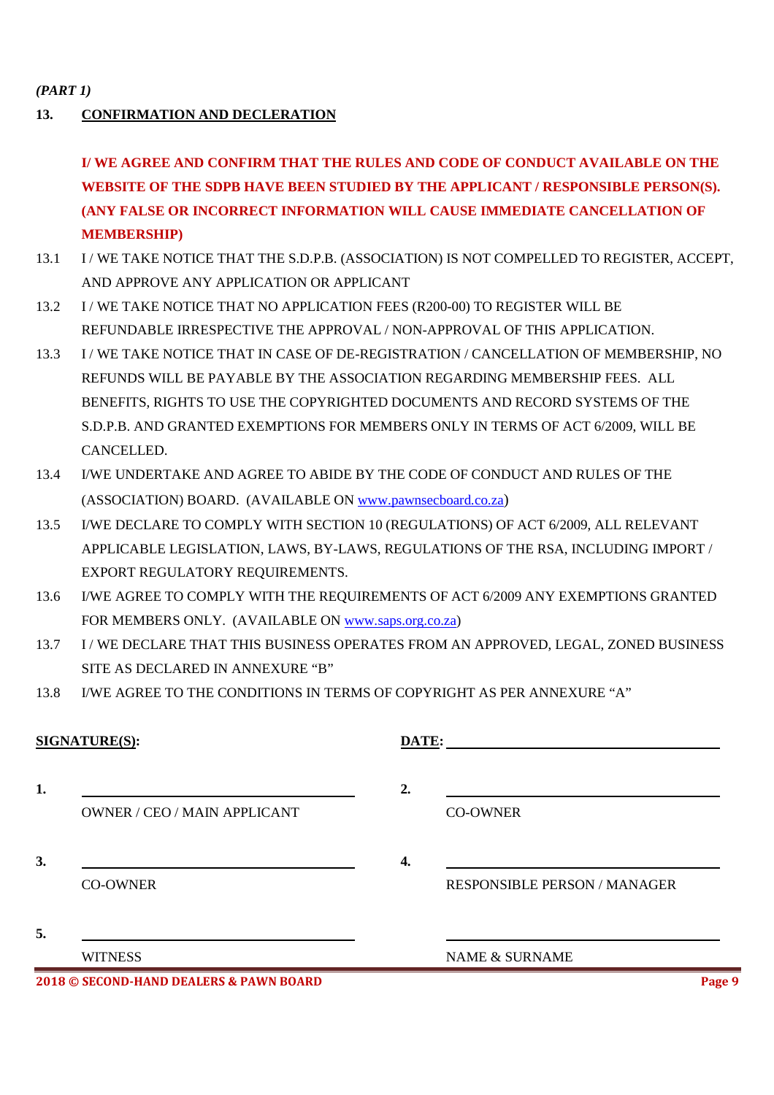#### *(PART 1)*

# **13. CONFIRMATION AND DECLERATION**

**I/ WE AGREE AND CONFIRM THAT THE RULES AND CODE OF CONDUCT AVAILABLE ON THE WEBSITE OF THE SDPB HAVE BEEN STUDIED BY THE APPLICANT / RESPONSIBLE PERSON(S). (ANY FALSE OR INCORRECT INFORMATION WILL CAUSE IMMEDIATE CANCELLATION OF MEMBERSHIP)** 

- 13.1 I / WE TAKE NOTICE THAT THE S.D.P.B. (ASSOCIATION) IS NOT COMPELLED TO REGISTER, ACCEPT, AND APPROVE ANY APPLICATION OR APPLICANT
- 13.2 I / WE TAKE NOTICE THAT NO APPLICATION FEES (R200-00) TO REGISTER WILL BE REFUNDABLE IRRESPECTIVE THE APPROVAL / NON-APPROVAL OF THIS APPLICATION.
- 13.3 I / WE TAKE NOTICE THAT IN CASE OF DE-REGISTRATION / CANCELLATION OF MEMBERSHIP, NO REFUNDS WILL BE PAYABLE BY THE ASSOCIATION REGARDING MEMBERSHIP FEES. ALL BENEFITS, RIGHTS TO USE THE COPYRIGHTED DOCUMENTS AND RECORD SYSTEMS OF THE S.D.P.B. AND GRANTED EXEMPTIONS FOR MEMBERS ONLY IN TERMS OF ACT 6/2009, WILL BE CANCELLED.
- 13.4 I/WE UNDERTAKE AND AGREE TO ABIDE BY THE CODE OF CONDUCT AND RULES OF THE (ASSOCIATION) BOARD. (AVAILABLE ON www.pawnsecboard.co.za)
- 13.5 I/WE DECLARE TO COMPLY WITH SECTION 10 (REGULATIONS) OF ACT 6/2009, ALL RELEVANT APPLICABLE LEGISLATION, LAWS, BY-LAWS, REGULATIONS OF THE RSA, INCLUDING IMPORT / EXPORT REGULATORY REQUIREMENTS.
- 13.6 I/WE AGREE TO COMPLY WITH THE REQUIREMENTS OF ACT 6/2009 ANY EXEMPTIONS GRANTED FOR MEMBERS ONLY. (AVAILABLE ON www.saps.org.co.za)
- 13.7 I / WE DECLARE THAT THIS BUSINESS OPERATES FROM AN APPROVED, LEGAL, ZONED BUSINESS SITE AS DECLARED IN ANNEXURE "B"
- 13.8 I/WE AGREE TO THE CONDITIONS IN TERMS OF COPYRIGHT AS PER ANNEXURE "A"

# **SIGNATURE(S):**

**1.** 2. OWNER / CEO / MAIN APPLICANT CO-OWNER

**3. 4.** 

| DATE: |  |  |  |
|-------|--|--|--|
|       |  |  |  |
|       |  |  |  |

CO-OWNER RESPONSIBLE PERSON / MANAGER

**5.** 

WITNESS NAME & SURNAME

**2018 © SECOND-HAND DEALERS & PAWN BOARD Page 9**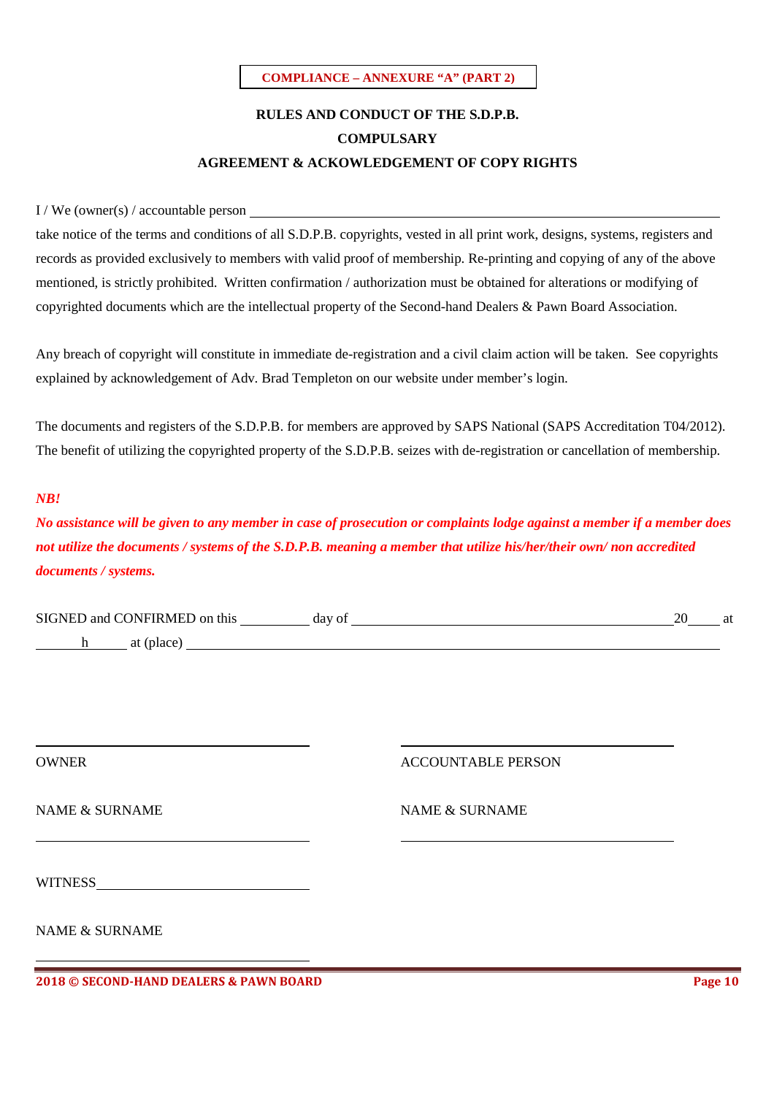#### **COMPLIANCE – ANNEXURE "A" (PART 2)**

# **RULES AND CONDUCT OF THE S.D.P.B. COMPULSARY AGREEMENT & ACKOWLEDGEMENT OF COPY RIGHTS**

#### I / We (owner(s) / accountable person

take notice of the terms and conditions of all S.D.P.B. copyrights, vested in all print work, designs, systems, registers and records as provided exclusively to members with valid proof of membership. Re-printing and copying of any of the above mentioned, is strictly prohibited. Written confirmation / authorization must be obtained for alterations or modifying of copyrighted documents which are the intellectual property of the Second-hand Dealers & Pawn Board Association.

Any breach of copyright will constitute in immediate de-registration and a civil claim action will be taken. See copyrights explained by acknowledgement of Adv. Brad Templeton on our website under member's login.

The documents and registers of the S.D.P.B. for members are approved by SAPS National (SAPS Accreditation T04/2012). The benefit of utilizing the copyrighted property of the S.D.P.B. seizes with de-registration or cancellation of membership.

#### *NB!*

*No assistance will be given to any member in case of prosecution or complaints lodge against a member if a member does not utilize the documents / systems of the S.D.P.B. meaning a member that utilize his/her/their own/ non accredited documents / systems.*

| <b>SIGNED</b><br><b>ONFIRMED</b> on this<br>and C | dav.<br>$\Omega$<br>ua | <u>າເ</u> | at |  |
|---------------------------------------------------|------------------------|-----------|----|--|
|                                                   |                        |           |    |  |

h at (place)

OWNER ACCOUNTABLE PERSON

NAME & SURNAME NAME & SURNAME

WITNESS

NAME & SURNAME

**2018 © SECOND-HAND DEALERS & PAWN BOARD Page 10**